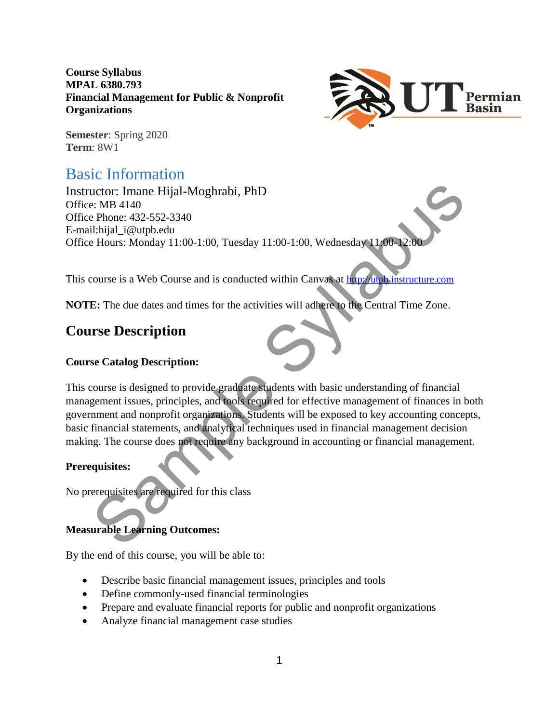**Course Syllabus MPAL 6380.793 Financial Management for Public & Nonprofit Organizations** 



**Semester**: Spring 2020 **Term**: 8W1

# Basic Information

Instructor: Imane Hijal-Moghrabi, PhD Office: MB 4140 Office Phone: 432-552-3340 E-mail:hijal\_i@utpb.edu Office Hours: Monday 11:00-1:00, Tuesday 11:00-1:00, Wednesday 11:00-12:00

This course is a Web Course and is conducted within Canvas at http://utpb.instructure.com

**NOTE:** The due dates and times for the activities will adhere to the Central Time Zone.

## **Course Description**

#### **Course Catalog Description:**

This course is designed to provide graduate students with basic understanding of financial management issues, principles, and tools required for effective management of finances in both government and nonprofit organizations. Students will be exposed to key accounting concepts, basic financial statements, and analytical techniques used in financial management decision making. The course does not require any background in accounting or financial management. Letter: Imane Hijal-Moghrabi, PhD<br>
2: MB 4140<br>
2: Phone: 432-552-3340<br>
11:hijal\_i@urpb.edu<br>
11:hijal\_i@urpb.edu<br>
11:hijal\_i@urpb.edu<br>
11:hijal\_i@urpb.edu<br>
2: Hours: Monday 11:00-1:00, Tuesday 11:00-1:00, Wednesday 11:00-12

#### **Prerequisites:**

No prerequisites are required for this class

#### **Measurable Learning Outcomes:**

By the end of this course, you will be able to:

- Describe basic financial management issues, principles and tools
- Define commonly-used financial terminologies
- Prepare and evaluate financial reports for public and nonprofit organizations
- Analyze financial management case studies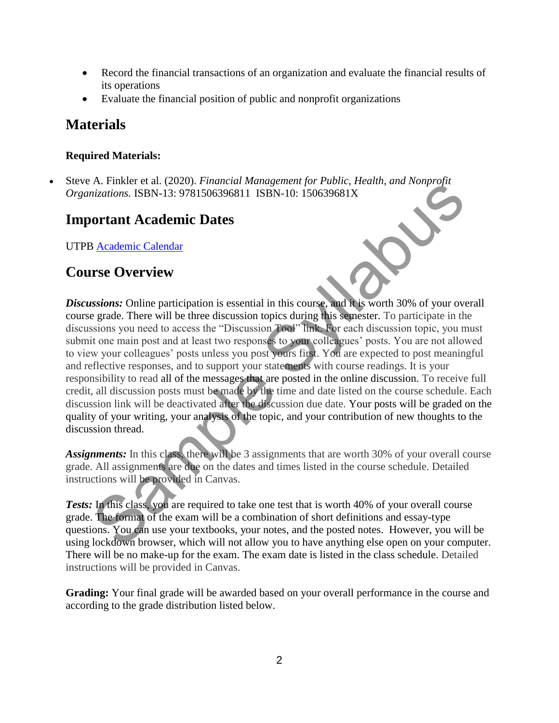- Record the financial transactions of an organization and evaluate the financial results of its operations
- Evaluate the financial position of public and nonprofit organizations

## **Materials**

#### **Required Materials:**

 Steve A. Finkler et al. (2020). *Financial Management for Public, Health, and Nonprofit Organizations.* ISBN-13: 9781506396811 ISBN-10: 150639681X

## **Important Academic Dates**

UTPB Academic Calendar

## **Course Overview**

*Discussions:* Online participation is essential in this course, and it is worth 30% of your overall course grade. There will be three discussion topics during this semester. To participate in the discussions you need to access the "Discussion Tool" link. For each discussion topic, you must submit one main post and at least two responses to your colleagues' posts. You are not allowed to view your colleagues' posts unless you post yours first. You are expected to post meaningful and reflective responses, and to support your statements with course readings. It is your responsibility to read all of the messages that are posted in the online discussion. To receive full credit, all discussion posts must be made by the time and date listed on the course schedule. Each discussion link will be deactivated after the discussion due date. Your posts will be graded on the quality of your writing, your analysis of the topic, and your contribution of new thoughts to the discussion thread. A: matter et al. (2020). Frametai wand generally or Table, The and Nonpropin<br>
Shiraltons. ISBN-13: 9781506396811 ISBN-10: 150639681X<br>
ortant Academic Calendar<br>
Shiraltons: Online participation is essential in this course,

**Assignments:** In this class, there will be 3 assignments that are worth 30% of your overall course grade. All assignments are due on the dates and times listed in the course schedule. Detailed instructions will be provided in Canvas.

*Tests:* In this class, you are required to take one test that is worth 40% of your overall course grade. The format of the exam will be a combination of short definitions and essay-type questions. You can use your textbooks, your notes, and the posted notes. However, you will be using lockdown browser, which will not allow you to have anything else open on your computer. There will be no make-up for the exam. The exam date is listed in the class schedule. Detailed instructions will be provided in Canvas.

**Grading:** Your final grade will be awarded based on your overall performance in the course and according to the grade distribution listed below.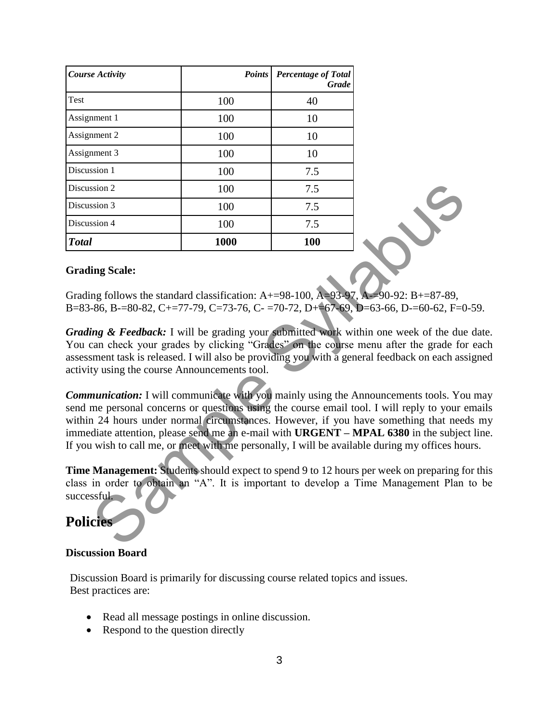| <b>Course Activity</b> | <b>Points</b> | <b>Percentage of Total</b><br><b>Grade</b> |
|------------------------|---------------|--------------------------------------------|
| Test                   | 100           | 40                                         |
| Assignment 1           | 100           | 10                                         |
| Assignment 2           | 100           | 10                                         |
| Assignment 3           | 100           | 10                                         |
| Discussion 1           | 100           | 7.5                                        |
| Discussion 2           | 100           | 7.5                                        |
| Discussion 3           | 100           | 7.5                                        |
| Discussion 4           | 100           | 7.5                                        |
| <b>Total</b>           | 1000          | <b>100</b>                                 |

#### **Grading Scale:**

Grading follows the standard classification:  $A+=98-100$ ,  $A=93-97$ ,  $A=90-92$ :  $B+=87-89$ , B=83-86, B-=80-82, C+=77-79, C=73-76, C- =70-72, D+=67-69, D=63-66, D-=60-62, F=0-59.

*Grading & Feedback:* I will be grading your submitted work within one week of the due date. You can check your grades by clicking "Grades" on the course menu after the grade for each assessment task is released. I will also be providing you with a general feedback on each assigned activity using the course Announcements tool.

*Communication:* I will communicate with you mainly using the Announcements tools. You may send me personal concerns or questions using the course email tool. I will reply to your emails within 24 hours under normal circumstances. However, if you have something that needs my immediate attention, please send me an e-mail with **URGENT – MPAL 6380** in the subject line. If you wish to call me, or meet with me personally, I will be available during my offices hours. sion 3<br>
sion 3<br>
sion 4<br>
Sample State 100 7.5<br>
100 7.5<br>
100 7.5<br>
100 7.5<br>
100 7.5<br>
100 100 7.5<br>
100 100 7.5<br>
100 100 7.5<br>
100 100 7.5<br>
100 100 7.5<br>
100 100 100 100 100<br>
100 100 100 100 100<br>
100 100 100 100 100 100 100 100

**Time Management:** Students should expect to spend 9 to 12 hours per week on preparing for this class in order to obtain an "A". It is important to develop a Time Management Plan to be successful.

# **Policies**

#### **Discussion Board**

Discussion Board is primarily for discussing course related topics and issues. Best practices are:

- Read all message postings in online discussion.
- Respond to the question directly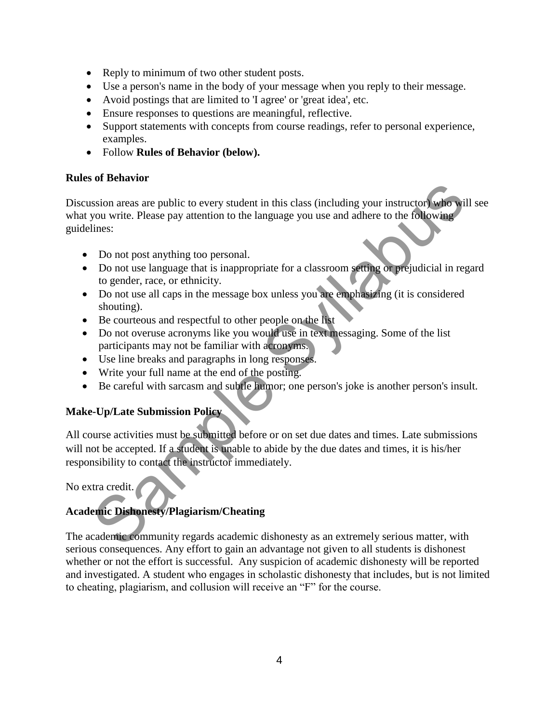- Reply to minimum of two other student posts.
- Use a person's name in the body of your message when you reply to their message.
- Avoid postings that are limited to 'I agree' or 'great idea', etc.
- Ensure responses to questions are meaningful, reflective.
- Support statements with concepts from course readings, refer to personal experience, examples.
- Follow **Rules of Behavior (below).**

#### **Rules of Behavior**

Discussion areas are public to every student in this class (including your instructor) who will see what you write. Please pay attention to the language you use and adhere to the following guidelines:

- Do not post anything too personal.
- Do not use language that is inappropriate for a classroom setting or prejudicial in regard to gender, race, or ethnicity.
- Do not use all caps in the message box unless you are emphasizing (it is considered shouting).
- Be courteous and respectful to other people on the list
- Do not overuse acronyms like you would use in text messaging. Some of the list participants may not be familiar with acronyms.
- Use line breaks and paragraphs in long responses.
- Write your full name at the end of the posting.
- Be careful with sarcasm and subtle humor; one person's joke is another person's insult.

#### **Make-Up/Late Submission Policy**

All course activities must be submitted before or on set due dates and times. Late submissions will not be accepted. If a student is unable to abide by the due dates and times, it is his/her responsibility to contact the instructor immediately. Saion areas are public to every student in this class (including your instructor) who wis<br>you write. Please pay attention to the language you use and adhere to the following<br>lines:<br>Do not post anything too personal.<br>Do not

No extra credit.

#### **Academic Dishonesty/Plagiarism/Cheating**

The academic community regards academic dishonesty as an extremely serious matter, with serious consequences. Any effort to gain an advantage not given to all students is dishonest whether or not the effort is successful. Any suspicion of academic dishonesty will be reported and investigated. A student who engages in scholastic dishonesty that includes, but is not limited to cheating, plagiarism, and collusion will receive an "F" for the course.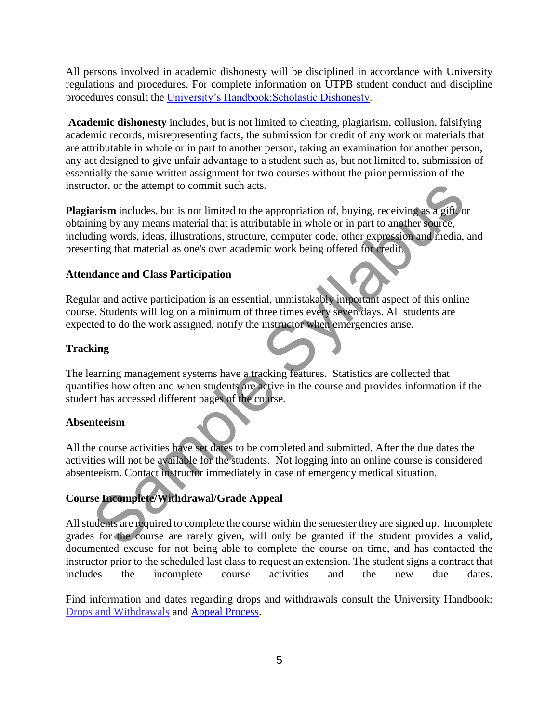All persons involved in academic dishonesty will be disciplined in accordance with University regulations and procedures. For complete information on UTPB student conduct and discipline procedures consult the University's Handbook:Scholastic Dishonesty.

.**Academic dishonesty** includes, but is not limited to cheating, plagiarism, collusion, falsifying academic records, misrepresenting facts, the submission for credit of any work or materials that are attributable in whole or in part to another person, taking an examination for another person, any act designed to give unfair advantage to a student such as, but not limited to, submission of essentially the same written assignment for two courses without the prior permission of the instructor, or the attempt to commit such acts.

**Plagiarism** includes, but is not limited to the appropriation of, buying, receiving as a gift, or obtaining by any means material that is attributable in whole or in part to another source, including words, ideas, illustrations, structure, computer code, other expression and media, and presenting that material as one's own academic work being offered for credit. ctor, or the attempt to commit such acts.<br> **Arism** includes, but is not limited to the appropriation of, buying, receiving as a gift, or<br>
ining by any means material that is attributable in whole or in part to anoiher sour

#### **Attendance and Class Participation**

Regular and active participation is an essential, unmistakably important aspect of this online course. Students will log on a minimum of three times every seven days. All students are expected to do the work assigned, notify the instructor when emergencies arise.

#### **Tracking**

The learning management systems have a tracking features. Statistics are collected that quantifies how often and when students are active in the course and provides information if the student has accessed different pages of the course.

#### **Absenteeism**

All the course activities have set dates to be completed and submitted. After the due dates the activities will not be available for the students. Not logging into an online course is considered absenteeism. Contact instructor immediately in case of emergency medical situation.

#### **Course Incomplete/Withdrawal/Grade Appeal**

All students are required to complete the course within the semester they are signed up. Incomplete grades for the course are rarely given, will only be granted if the student provides a valid, documented excuse for not being able to complete the course on time, and has contacted the instructor prior to the scheduled last class to request an extension. The student signs a contract that includes the incomplete course activities and the new due dates.

Find information and dates regarding drops and withdrawals consult the University Handbook: Drops and Withdrawals and Appeal Process.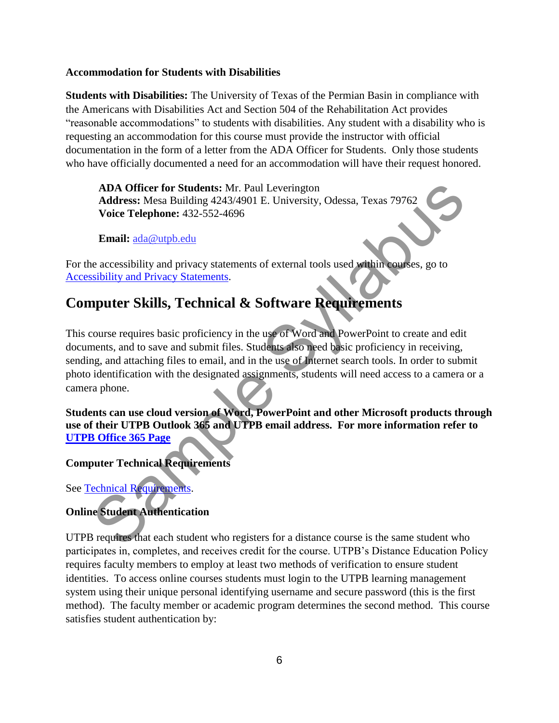#### **Accommodation for Students with Disabilities**

**Students with Disabilities:** The University of Texas of the Permian Basin in compliance with the Americans with Disabilities Act and Section 504 of the Rehabilitation Act provides "reasonable accommodations" to students with disabilities. Any student with a disability who is requesting an accommodation for this course must provide the instructor with official documentation in the form of a letter from the ADA Officer for Students. Only those students who have officially documented a need for an accommodation will have their request honored.

**ADA Officer for Students:** Mr. Paul Leverington **Address:** Mesa Building 4243/4901 E. University, Odessa, Texas 79762 **Voice Telephone:** 432-552-4696

**Email:** ada@utpb.edu

For the accessibility and privacy statements of external tools used within courses, go to Accessibility and Privacy Statements.

## **Computer Skills, Technical & Software Requirements**

This course requires basic proficiency in the use of Word and PowerPoint to create and edit documents, and to save and submit files. Students also need basic proficiency in receiving, sending, and attaching files to email, and in the use of Internet search tools. In order to submit photo identification with the designated assignments, students will need access to a camera or a camera phone. ADA Officer for Students: Mr. Paul Leverington<br>
Address: Mss Building 4243/4901 E. University, Odessa, Texas 79762<br>
Voice Telephone: 432-552-4696<br>
Email:  $\frac{1}{2}$  ada@utph.edu<br>
Email:  $\frac{1}{2}$  ada@utph.edu<br>
Email:  $\frac{1$ 

**Students can use cloud version of Word, PowerPoint and other Microsoft products through use of their UTPB Outlook 365 and UTPB email address. For more information refer to UTPB Office 365 Page**

#### **Computer Technical Requirements**

See Technical Requirements.

#### **Online Student Authentication**

UTPB requires that each student who registers for a distance course is the same student who participates in, completes, and receives credit for the course. UTPB's Distance Education Policy requires faculty members to employ at least two methods of verification to ensure student identities. To access online courses students must login to the UTPB learning management system using their unique personal identifying username and secure password (this is the first method). The faculty member or academic program determines the second method. This course satisfies student authentication by: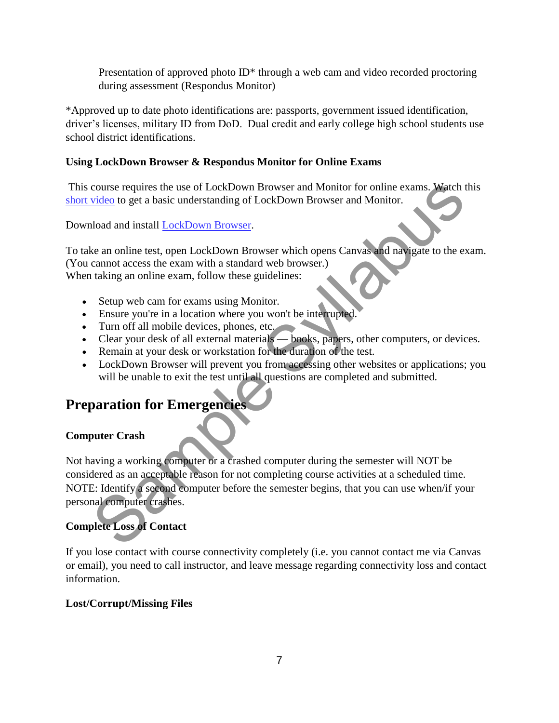Presentation of approved photo  $ID^*$  through a web cam and video recorded proctoring during assessment (Respondus Monitor)

\*Approved up to date photo identifications are: passports, government issued identification, driver's licenses, military ID from DoD. Dual credit and early college high school students use school district identifications.

#### **Using LockDown Browser & Respondus Monitor for Online Exams**

This course requires the use of LockDown Browser and Monitor for online exams. Watch this short video to get a basic understanding of LockDown Browser and Monitor.

Download and install LockDown Browser.

To take an online test, open LockDown Browser which opens Canvas and navigate to the exam. (You cannot access the exam with a standard web browser.) When taking an online exam, follow these guidelines:

- Setup web cam for exams using Monitor.
- Ensure you're in a location where you won't be interrupted.
- Turn off all mobile devices, phones, etc.
- Clear your desk of all external materials books, papers, other computers, or devices.
- Remain at your desk or workstation for the duration of the test.
- LockDown Browser will prevent you from accessing other websites or applications; you will be unable to exit the test until all questions are completed and submitted.

## **Preparation for Emergencies**

#### **Computer Crash**

Not having a working computer or a crashed computer during the semester will NOT be considered as an acceptable reason for not completing course activities at a scheduled time. NOTE: Identify a second computer before the semester begins, that you can use when/if your personal computer crashes. course requires the use of LockDown Browser and Monitor for online exams. Watch to<br>video to get a basic understanding of LockDown Browser and Monitor.<br>
Idoad and install LockDown Browser.<br>
Re an online test, open LockDown

### **Complete Loss of Contact**

If you lose contact with course connectivity completely (i.e. you cannot contact me via Canvas or email), you need to call instructor, and leave message regarding connectivity loss and contact information.

#### **Lost/Corrupt/Missing Files**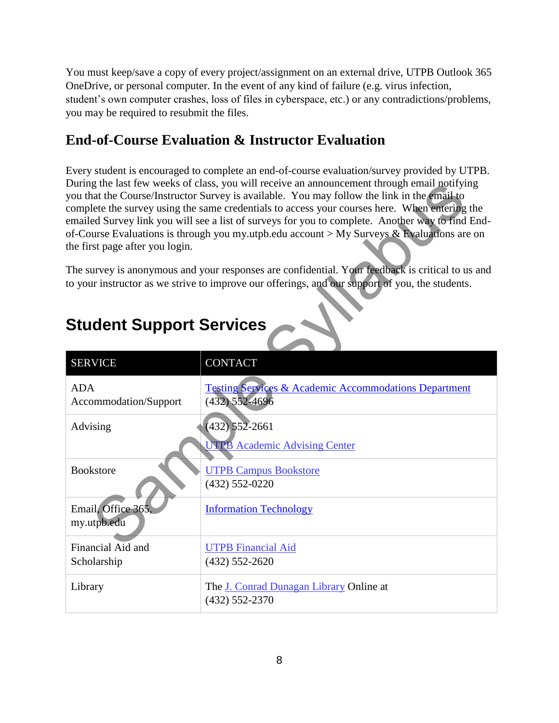You must keep/save a copy of every project/assignment on an external drive, UTPB Outlook 365 OneDrive, or personal computer. In the event of any kind of failure (e.g. virus infection, student's own computer crashes, loss of files in cyberspace, etc.) or any contradictions/problems, you may be required to resubmit the files.

## **End-of-Course Evaluation & Instructor Evaluation**

Every student is encouraged to complete an end-of-course evaluation/survey provided by UTPB. During the last few weeks of class, you will receive an announcement through email notifying you that the Course/Instructor Survey is available. You may follow the link in the email to complete the survey using the same credentials to access your courses here. When entering the emailed Survey link you will see a list of surveys for you to complete. Another way to find Endof-Course Evaluations is through you my.utpb.edu account > My Surveys & Evaluations are on the first page after you login.

| the first page after you login.                                                                                                                                                                                                        | During the last few weeks of class, you will receive an announcement through email notifying<br>you that the Course/Instructor Survey is available. You may follow the link in the email to<br>complete the survey using the same credentials to access your courses here. When entering the<br>emailed Survey link you will see a list of surveys for you to complete. Another way to find End-<br>of-Course Evaluations is through you my.utpb.edu account > My Surveys & Evaluations are on |  |  |
|----------------------------------------------------------------------------------------------------------------------------------------------------------------------------------------------------------------------------------------|------------------------------------------------------------------------------------------------------------------------------------------------------------------------------------------------------------------------------------------------------------------------------------------------------------------------------------------------------------------------------------------------------------------------------------------------------------------------------------------------|--|--|
| The survey is anonymous and your responses are confidential. Your feedback is critical to us and<br>to your instructor as we strive to improve our offerings, and our support of you, the students.<br><b>Student Support Services</b> |                                                                                                                                                                                                                                                                                                                                                                                                                                                                                                |  |  |
| <b>SERVICE</b>                                                                                                                                                                                                                         | <b>CONTACT</b>                                                                                                                                                                                                                                                                                                                                                                                                                                                                                 |  |  |
| <b>ADA</b><br>Accommodation/Support                                                                                                                                                                                                    | <b>Testing Services &amp; Academic Accommodations Department</b><br>$(432)$ 552-4696                                                                                                                                                                                                                                                                                                                                                                                                           |  |  |
| Advising                                                                                                                                                                                                                               | $(432)$ 552-2661<br><b>UTPB</b> Academic Advising Center                                                                                                                                                                                                                                                                                                                                                                                                                                       |  |  |
| <b>Bookstore</b>                                                                                                                                                                                                                       | <b>UTPB Campus Bookstore</b><br>$(432) 552 - 0220$                                                                                                                                                                                                                                                                                                                                                                                                                                             |  |  |
| Email, Office 365,<br>my.utpb.edu                                                                                                                                                                                                      | <b>Information Technology</b>                                                                                                                                                                                                                                                                                                                                                                                                                                                                  |  |  |
| Financial Aid and<br>Scholarship                                                                                                                                                                                                       | <b>UTPB Financial Aid</b><br>$(432) 552 - 2620$                                                                                                                                                                                                                                                                                                                                                                                                                                                |  |  |
| Library                                                                                                                                                                                                                                | The J. Conrad Dunagan Library Online at<br>$(432) 552 - 2370$                                                                                                                                                                                                                                                                                                                                                                                                                                  |  |  |

# **Student Support Services**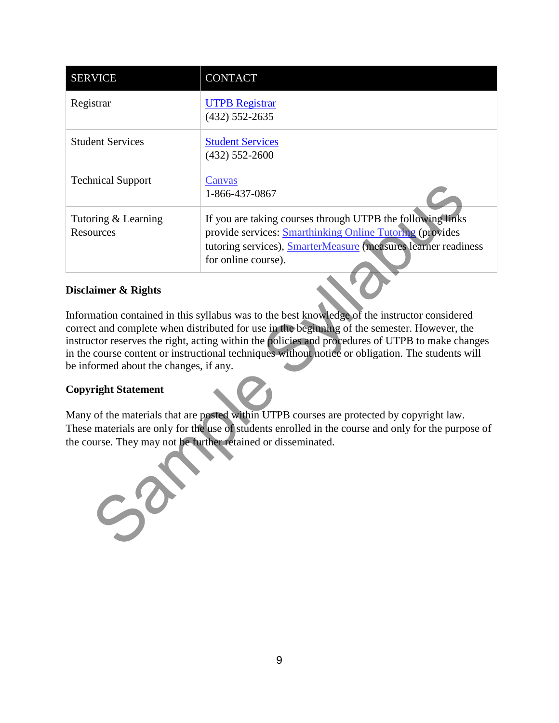| <b>SERVICE</b>                                                                                                                                                                                                                                                                                                                                                                                                                                                                                                   | <b>CONTACT</b>                                                                                                                                                                                                         |  |
|------------------------------------------------------------------------------------------------------------------------------------------------------------------------------------------------------------------------------------------------------------------------------------------------------------------------------------------------------------------------------------------------------------------------------------------------------------------------------------------------------------------|------------------------------------------------------------------------------------------------------------------------------------------------------------------------------------------------------------------------|--|
| Registrar                                                                                                                                                                                                                                                                                                                                                                                                                                                                                                        | <b>UTPB</b> Registrar<br>$(432)$ 552-2635                                                                                                                                                                              |  |
| <b>Student Services</b>                                                                                                                                                                                                                                                                                                                                                                                                                                                                                          | <b>Student Services</b><br>$(432) 552 - 2600$                                                                                                                                                                          |  |
| <b>Technical Support</b>                                                                                                                                                                                                                                                                                                                                                                                                                                                                                         | Canvas<br>1-866-437-0867                                                                                                                                                                                               |  |
| Tutoring & Learning<br><b>Resources</b>                                                                                                                                                                                                                                                                                                                                                                                                                                                                          | If you are taking courses through UTPB the following links<br>provide services: <b>Smarthinking Online Tutoring</b> (provides<br>tutoring services), SmarterMeasure (measures learner readiness<br>for online course). |  |
| <b>Disclaimer &amp; Rights</b><br>Information contained in this syllabus was to the best knowledge of the instructor considered<br>correct and complete when distributed for use in the beginning of the semester. However, the<br>instructor reserves the right, acting within the policies and procedures of UTPB to make changes<br>in the course content or instructional techniques without notice or obligation. The students will<br>be informed about the changes, if any.<br><b>Copyright Statement</b> |                                                                                                                                                                                                                        |  |
| Many of the materials that are posted within UTPB courses are protected by copyright law.<br>These materials are only for the use of students enrolled in the course and only for the purpose of<br>the course. They may not be further retained or disseminated.<br>$50^\circ$                                                                                                                                                                                                                                  |                                                                                                                                                                                                                        |  |

#### **Disclaimer & Rights**

#### **Copyright Statement**